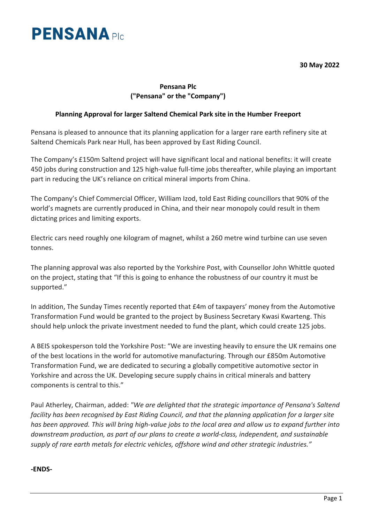

**30 May 2022**

# **Pensana Plc ("Pensana" or the "Company")**

## **Planning Approval for larger Saltend Chemical Park site in the Humber Freeport**

Pensana is pleased to announce that its planning application for a larger rare earth refinery site at Saltend Chemicals Park near Hull, has been approved by East Riding Council.

The Company's £150m Saltend project will have significant local and national benefits: it will create 450 jobs during construction and 125 high-value full-time jobs thereafter, while playing an important part in reducing the UK's reliance on critical mineral imports from China.

The Company's Chief Commercial Officer, William Izod, told East Riding councillors that 90% of the world's magnets are currently produced in China, and their near monopoly could result in them dictating prices and limiting exports.

Electric cars need roughly one kilogram of magnet, whilst a 260 metre wind turbine can use seven tonnes.

The planning approval was also reported by the Yorkshire Post, with Counsellor John Whittle quoted on the project, stating that "If this is going to enhance the robustness of our country it must be supported."

In addition, The Sunday Times recently reported that £4m of taxpayers' money from the Automotive Transformation Fund would be granted to the project by Business Secretary Kwasi Kwarteng. This should help unlock the private investment needed to fund the plant, which could create 125 jobs.

A BEIS spokesperson told the Yorkshire Post: "We are investing heavily to ensure the UK remains one of the best locations in the world for automotive manufacturing. Through our £850m Automotive Transformation Fund, we are dedicated to securing a globally competitive automotive sector in Yorkshire and across the UK. Developing secure supply chains in critical minerals and battery components is central to this."

Paul Atherley, Chairman, added: *"We are delighted that the strategic importance of Pensana's Saltend facility has been recognised by East Riding Council, and that the planning application for a larger site has been approved. This will bring high-value jobs to the local area and allow us to expand further into downstream production, as part of our plans to create a world-class, independent, and sustainable supply of rare earth metals for electric vehicles, offshore wind and other strategic industries."*

#### **-ENDS-**